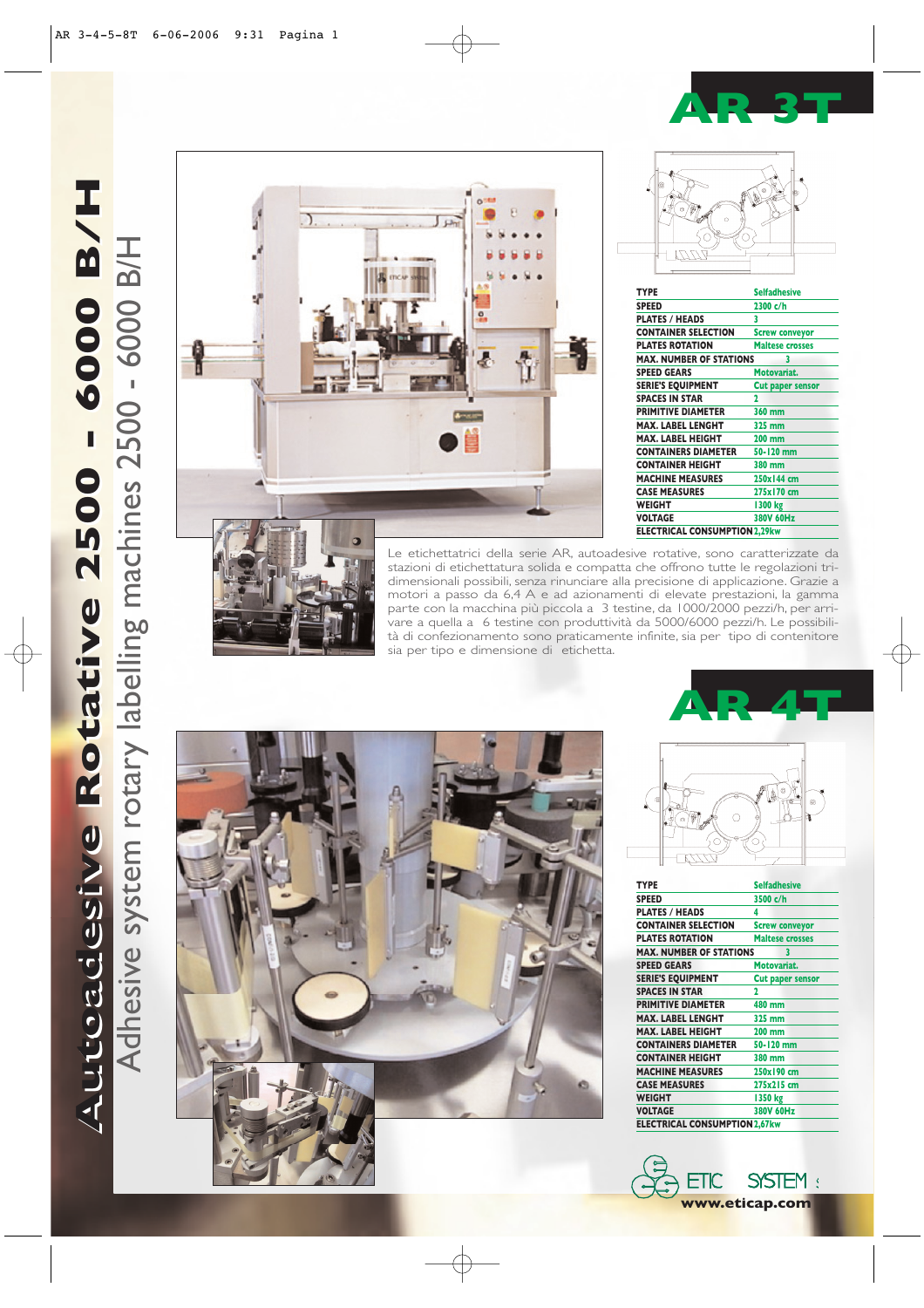**AR 3T**

**ROAD** 



Adhesive system rotary labelling machines 2500 - 6000 B/H



| Ō                              |                         |
|--------------------------------|-------------------------|
| <b>TYPE</b>                    | <b>Selfadhesive</b>     |
| <b>SPEED</b>                   | 2300 c/h                |
| <b>PLATES / HEADS</b>          | 3                       |
| <b>CONTAINER SELECTION</b>     | <b>Screw conveyor</b>   |
| <b>PLATES ROTATION</b>         | <b>Maltese crosses</b>  |
| <b>MAX. NUMBER OF STATIONS</b> | 3                       |
| <b>SPEED GEARS</b>             | Motovariat.             |
| <b>SERIE'S EQUIPMENT</b>       | <b>Cut paper sensor</b> |
| <b>SPACES IN STAR</b>          | 2                       |
| <b>PRIMITIVE DIAMETER</b>      | 360 mm                  |
| <b>MAX. LABEL LENGHT</b>       | 325 mm                  |
| <b>MAX. LABEL HEIGHT</b>       | <b>200 mm</b>           |
| <b>CONTAINERS DIAMETER</b>     | 50-120 mm               |
| <b>CONTAINER HEIGHT</b>        | 380 mm                  |
| <b>MACHINE MEASURES</b>        | 250x144 cm              |

**CASE MEASURES 275x170 cm**

**ELECTRICAL CONSUMPTION2,29kw**

**VOLTAGE 380V 60Hz**



Le etichettatrici della serie AR, autoadesive rotative, sono caratterizzate da stazioni di etichettatura solida e compatta che offrono tutte le regolazioni tridimensionali possibili, senza rinunciare alla precisione di applicazione. Grazie a motori a passo da 6,4 A e ad azionamenti di elevate prestazioni, la gamma parte con la macchina più piccola a 3 testine, da 1000/2000 pezzi/h, per arrivare a quella a 6 testine con produttività da 5000/6000 pezzi/h. Le possibilità di confezionamento sono praticamente infinite, sia per tipo di contenitore sia per tipo e dimensione di etichetta.

**WEIGHT**<br>**VOLTAGE** 

 $\sqrt{2}$ 





| <b>TYPE</b>                         | <b>Selfadhesive</b>     |  |
|-------------------------------------|-------------------------|--|
| <b>SPEED</b>                        | 3500 c/h                |  |
| <b>PLATES / HEADS</b>               | 4                       |  |
| <b>CONTAINER SELECTION</b>          | <b>Screw conveyor</b>   |  |
| <b>PLATES ROTATION</b>              | <b>Maltese crosses</b>  |  |
| <b>MAX. NUMBER OF STATIONS</b><br>3 |                         |  |
| <b>SPEED GEARS</b>                  | Motovariat.             |  |
| <b>SERIE'S EQUIPMENT</b>            | <b>Cut paper sensor</b> |  |
| <b>SPACES IN STAR</b>               | 2                       |  |
| <b>PRIMITIVE DIAMETER</b>           | 480 mm                  |  |
| <b>MAX. LABEL LENGHT</b>            | 325 mm                  |  |
| <b>MAX. LABEL HEIGHT</b>            | <b>200 mm</b>           |  |
| <b>CONTAINERS DIAMETER</b>          | 50-120 mm               |  |
| <b>CONTAINER HEIGHT</b>             | 380 mm                  |  |
| <b>MACHINE MEASURES</b>             | 250x190 cm              |  |
| <b>CASE MEASURES</b>                | 275x215 cm              |  |
| <b>WEIGHT</b>                       | 1350 kg                 |  |
| <b>VOLTAGE</b>                      | 380V 60Hz               |  |
| <b>ELECTRICAL CONSUMPTION2,67kw</b> |                         |  |
|                                     |                         |  |

 $\overline{)$  ETIC SYSTEM: **www.eticap.com**